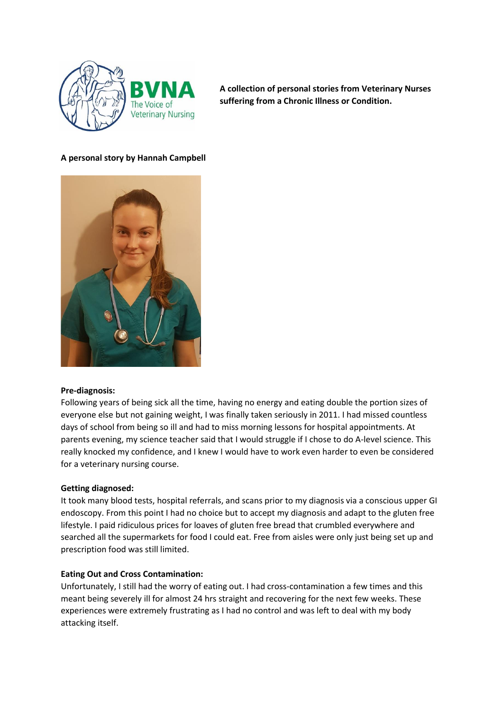

**A collection of personal stories from Veterinary Nurses suffering from a Chronic Illness or Condition.** 

# **A personal story by Hannah Campbell**



#### **Pre-diagnosis:**

Following years of being sick all the time, having no energy and eating double the portion sizes of everyone else but not gaining weight, I was finally taken seriously in 2011. I had missed countless days of school from being so ill and had to miss morning lessons for hospital appointments. At parents evening, my science teacher said that I would struggle if I chose to do A-level science. This really knocked my confidence, and I knew I would have to work even harder to even be considered for a veterinary nursing course.

#### **Getting diagnosed:**

It took many blood tests, hospital referrals, and scans prior to my diagnosis via a conscious upper GI endoscopy. From this point I had no choice but to accept my diagnosis and adapt to the gluten free lifestyle. I paid ridiculous prices for loaves of gluten free bread that crumbled everywhere and searched all the supermarkets for food I could eat. Free from aisles were only just being set up and prescription food was still limited.

#### **Eating Out and Cross Contamination:**

Unfortunately, I still had the worry of eating out. I had cross-contamination a few times and this meant being severely ill for almost 24 hrs straight and recovering for the next few weeks. These experiences were extremely frustrating as I had no control and was left to deal with my body attacking itself.